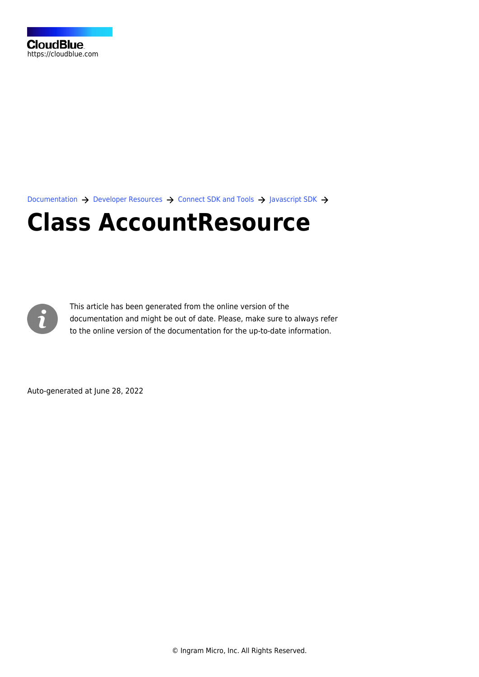[Documentation](https://connect.cloudblue.com/documentation)  $\rightarrow$  [Developer Resources](https://connect.cloudblue.com/community/developers/)  $\rightarrow$  [Connect SDK and Tools](https://connect.cloudblue.com/community/developers/sdk/)  $\rightarrow$  [Javascript SDK](https://connect.cloudblue.com/community/developers/sdk/javascript-sdk/)  $\rightarrow$ 

# **[Class AccountResource](https://connect.cloudblue.com/community/developers/sdk/javascript-sdk/class-accountresource/)**



This article has been generated from the online version of the documentation and might be out of date. Please, make sure to always refer to the online version of the documentation for the up-to-date information.

Auto-generated at June 28, 2022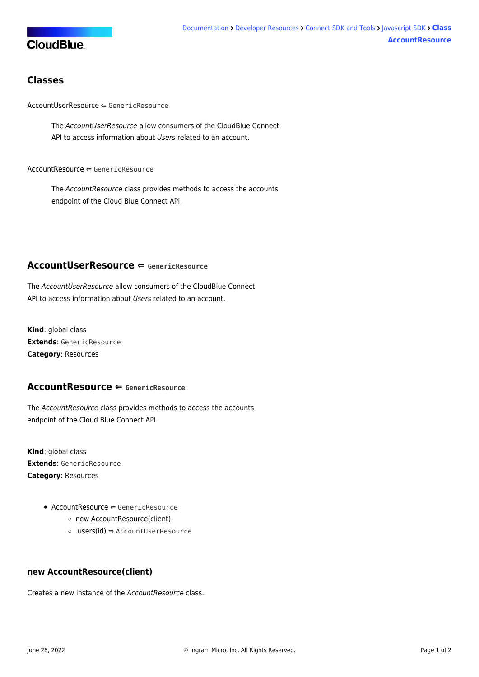## **CloudBlue**

### **Classes**

[AccountUserResource](#page-1-0) ⇐ GenericResource

The AccountUserResource allow consumers of the CloudBlue Connect API to access information about Users related to an account.

 $AccountResource \Leftarrow GenericResource$  $AccountResource \Leftarrow GenericResource$ 

The AccountResource class provides methods to access the accounts endpoint of the Cloud Blue Connect API.

#### <span id="page-1-0"></span>**AccountUserResource ⇐ GenericResource**

The AccountUserResource allow consumers of the CloudBlue Connect API to access information about Users related to an account.

**Kind**: global class **Extends**: GenericResource **Category**: Resources

#### <span id="page-1-1"></span>**AccountResource ⇐ GenericResource**

The AccountResource class provides methods to access the accounts endpoint of the Cloud Blue Connect API.

**Kind**: global class **Extends**: GenericResource **Category**: Resources

- $\bullet$  [AccountResource](#page-1-1)  $\Leftarrow$  GenericResource
	- [new AccountResource\(client\)](#page-1-2)
	- [.users\(id\)](#page-2-0) ⇒ [AccountUserResource](#page-1-0)

#### <span id="page-1-2"></span>**new AccountResource(client)**

Creates a new instance of the AccountResource class.